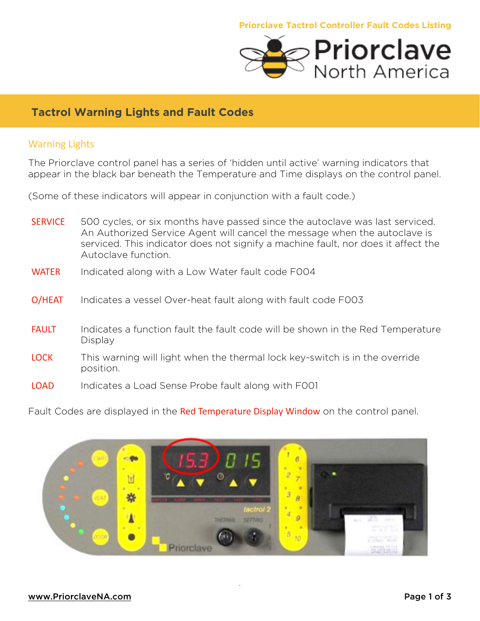

## **Tactrol Warning Lights and Fault Codes**

## **Warning Lights**

The Priorclave control panel has a series of 'hidden until active' warning indicators that appear in the black bar beneath the Temperature and Time displays on the control panel.

(Some of these indicators will appear in conjunction with a fault code.)

- **SERVICE** 500 cycles, or six months have passed since the autoclave was last serviced. An Authorized Service Agent will cancel the message when the autoclave is serviced. This indicator does not signify a machine fault, nor does it affect the Autoclave function.
- WATER Indicated along with a Low Water fault code F004
- O/HEAT Indicates a vessel Over-heat fault along with fault code F003
- **FAULT** Indicates a function fault the fault code will be shown in the Red Temperature Display
- LOCK This warning will light when the thermal lock key-switch is in the override position.
- LOAD Indicates a Load Sense Probe fault along with F001

Fault Codes are displayed in the Red Temperature Display Window on the control panel.

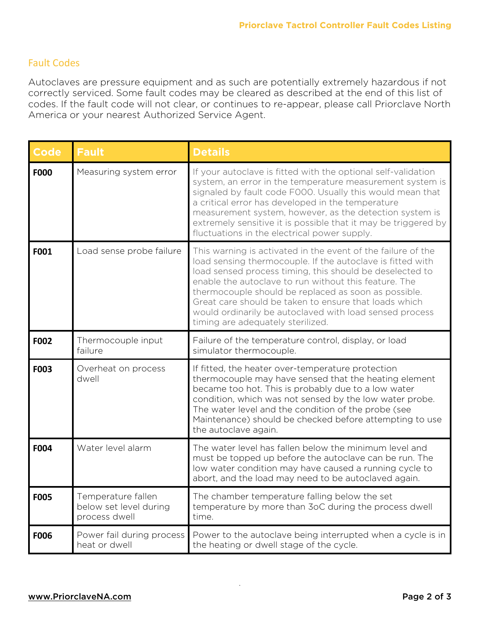## **Fault Codes**

Autoclaves are pressure equipment and as such are potentially extremely hazardous if not correctly serviced. Some fault codes may be cleared as described at the end of this list of codes. If the fault code will not clear, or continues to re-appear, please call Priorclave North America or your nearest Authorized Service Agent.

| <b>Code</b> | <b>Fault</b>                                                  | <b>Details</b>                                                                                                                                                                                                                                                                                                                                                                                                                                                   |
|-------------|---------------------------------------------------------------|------------------------------------------------------------------------------------------------------------------------------------------------------------------------------------------------------------------------------------------------------------------------------------------------------------------------------------------------------------------------------------------------------------------------------------------------------------------|
| <b>F000</b> | Measuring system error                                        | If your autoclave is fitted with the optional self-validation<br>system, an error in the temperature measurement system is<br>signaled by fault code F000. Usually this would mean that<br>a critical error has developed in the temperature<br>measurement system, however, as the detection system is<br>extremely sensitive it is possible that it may be triggered by<br>fluctuations in the electrical power supply.                                        |
| F001        | Load sense probe failure                                      | This warning is activated in the event of the failure of the<br>load sensing thermocouple. If the autoclave is fitted with<br>load sensed process timing, this should be deselected to<br>enable the autoclave to run without this feature. The<br>thermocouple should be replaced as soon as possible.<br>Great care should be taken to ensure that loads which<br>would ordinarily be autoclaved with load sensed process<br>timing are adequately sterilized. |
| F002        | Thermocouple input<br>failure                                 | Failure of the temperature control, display, or load<br>simulator thermocouple.                                                                                                                                                                                                                                                                                                                                                                                  |
| F003        | Overheat on process<br>dwell                                  | If fitted, the heater over-temperature protection<br>thermocouple may have sensed that the heating element<br>became too hot. This is probably due to a low water<br>condition, which was not sensed by the low water probe.<br>The water level and the condition of the probe (see<br>Maintenance) should be checked before attempting to use<br>the autoclave again.                                                                                           |
| F004        | Water level alarm                                             | The water level has fallen below the minimum level and<br>must be topped up before the autoclave can be run. The<br>low water condition may have caused a running cycle to<br>abort, and the load may need to be autoclaved again.                                                                                                                                                                                                                               |
| <b>F005</b> | Temperature fallen<br>below set level during<br>process dwell | The chamber temperature falling below the set<br>temperature by more than 3oC during the process dwell<br>time.                                                                                                                                                                                                                                                                                                                                                  |
| F006        | Power fail during process<br>heat or dwell                    | Power to the autoclave being interrupted when a cycle is in<br>the heating or dwell stage of the cycle.                                                                                                                                                                                                                                                                                                                                                          |